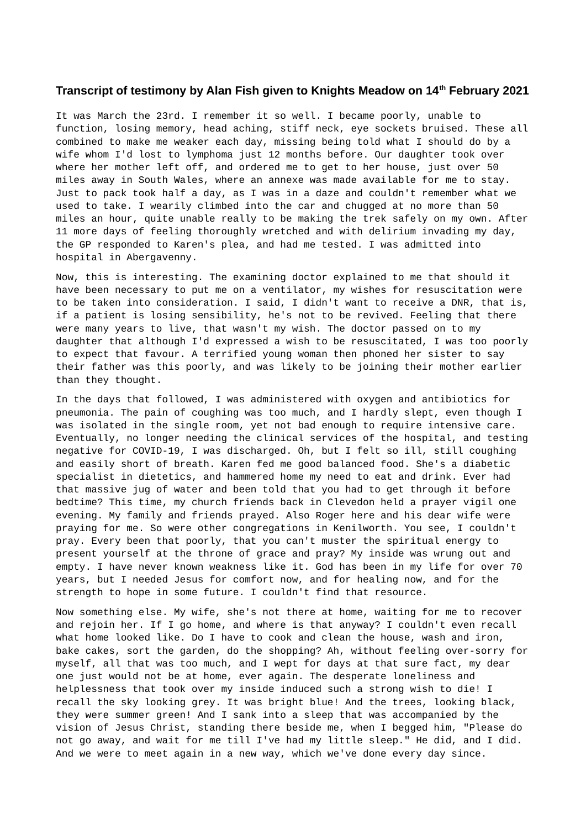## **Transcript of testimony by Alan Fish given to Knights Meadow on 14th February 2021**

It was March the 23rd. I remember it so well. I became poorly, unable to function, losing memory, head aching, stiff neck, eye sockets bruised. These all combined to make me weaker each day, missing being told what I should do by a wife whom I'd lost to lymphoma just 12 months before. Our daughter took over where her mother left off, and ordered me to get to her house, just over 50 miles away in South Wales, where an annexe was made available for me to stay. Just to pack took half a day, as I was in a daze and couldn't remember what we used to take. I wearily climbed into the car and chugged at no more than 50 miles an hour, quite unable really to be making the trek safely on my own. After 11 more days of feeling thoroughly wretched and with delirium invading my day, the GP responded to Karen's plea, and had me tested. I was admitted into hospital in Abergavenny.

Now, this is interesting. The examining doctor explained to me that should it have been necessary to put me on a ventilator, my wishes for resuscitation were to be taken into consideration. I said, I didn't want to receive a DNR, that is, if a patient is losing sensibility, he's not to be revived. Feeling that there were many years to live, that wasn't my wish. The doctor passed on to my daughter that although I'd expressed a wish to be resuscitated, I was too poorly to expect that favour. A terrified young woman then phoned her sister to say their father was this poorly, and was likely to be joining their mother earlier than they thought.

In the days that followed, I was administered with oxygen and antibiotics for pneumonia. The pain of coughing was too much, and I hardly slept, even though I was isolated in the single room, yet not bad enough to require intensive care. Eventually, no longer needing the clinical services of the hospital, and testing negative for COVID-19, I was discharged. Oh, but I felt so ill, still coughing and easily short of breath. Karen fed me good balanced food. She's a diabetic specialist in dietetics, and hammered home my need to eat and drink. Ever had that massive jug of water and been told that you had to get through it before bedtime? This time, my church friends back in Clevedon held a prayer vigil one evening. My family and friends prayed. Also Roger here and his dear wife were praying for me. So were other congregations in Kenilworth. You see, I couldn't pray. Every been that poorly, that you can't muster the spiritual energy to present yourself at the throne of grace and pray? My inside was wrung out and empty. I have never known weakness like it. God has been in my life for over 70 years, but I needed Jesus for comfort now, and for healing now, and for the strength to hope in some future. I couldn't find that resource.

Now something else. My wife, she's not there at home, waiting for me to recover and rejoin her. If I go home, and where is that anyway? I couldn't even recall what home looked like. Do I have to cook and clean the house, wash and iron, bake cakes, sort the garden, do the shopping? Ah, without feeling over-sorry for myself, all that was too much, and I wept for days at that sure fact, my dear one just would not be at home, ever again. The desperate loneliness and helplessness that took over my inside induced such a strong wish to die! I recall the sky looking grey. It was bright blue! And the trees, looking black, they were summer green! And I sank into a sleep that was accompanied by the vision of Jesus Christ, standing there beside me, when I begged him, "Please do not go away, and wait for me till I've had my little sleep." He did, and I did. And we were to meet again in a new way, which we've done every day since.